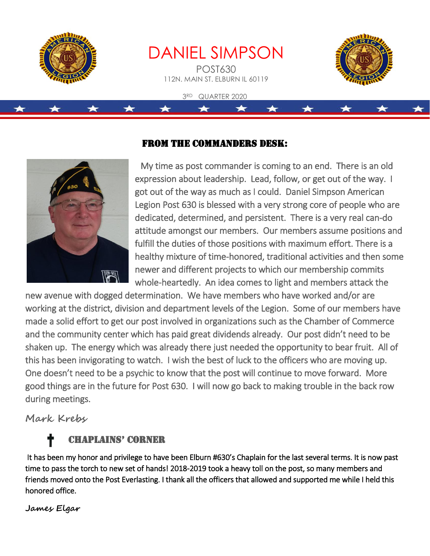

DANIEL SIMPSON POST630 112N. MAIN ST. ELBURN IL 60119

3RD QUARTER 2020



### From the Commanders Desk:



 My time as post commander is coming to an end. There is an old expression about leadership. Lead, follow, or get out of the way. I got out of the way as much as I could. Daniel Simpson American Legion Post 630 is blessed with a very strong core of people who are dedicated, determined, and persistent. There is a very real can-do attitude amongst our members. Our members assume positions and fulfill the duties of those positions with maximum effort. There is a healthy mixture of time-honored, traditional activities and then some newer and different projects to which our membership commits whole-heartedly. An idea comes to light and members attack the

new avenue with dogged determination. We have members who have worked and/or are working at the district, division and department levels of the Legion. Some of our members have made a solid effort to get our post involved in organizations such as the Chamber of Commerce and the community center which has paid great dividends already. Our post didn't need to be shaken up. The energy which was already there just needed the opportunity to bear fruit. All of this has been invigorating to watch. I wish the best of luck to the officers who are moving up. One doesn't need to be a psychic to know that the post will continue to move forward. More good things are in the future for Post 630. I will now go back to making trouble in the back row during meetings.

**Mark Krebs** 

### Chaplains' Corner

 It has been my honor and privilege to have been Elburn #630's Chaplain for the last several terms. It is now past time to pass the torch to new set of hands! 2018-2019 took a heavy toll on the post, so many members and friends moved onto the Post Everlasting. I thank all the officers that allowed and supported me while I held this honored office.

**James Elgar**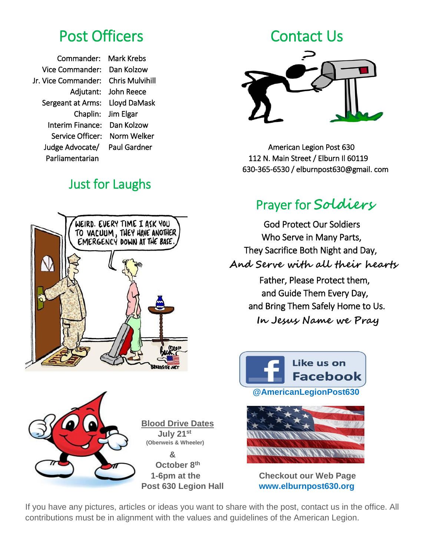Commander: Mark Krebs Vice Commander: Dan Kolzow Jr. Vice Commander: Chris Mulvihill Sergeant at Arms: Lloyd DaMask Chaplin: Jim Elgar Interim Finance: Dan Kolzow Service Officer: Norm Welker

Adjutant: John Reece

### Just for Laughs







Judge Advocate/ Paul Gardner American Legion Post 630 Parliamentarian 112 N. Main Street / Elburn II 60119 630-365-6530 / elburnpost630@gmail. com

### Prayer for **Soldiers**

 God Protect Our Soldiers Who Serve in Many Parts, They Sacrifice Both Night and Day,  **And Serve with all their hearts** Father, Please Protect them, and Guide Them Every Day,

> and Bring Them Safely Home to Us.  **In Jesus Name we Pray**





 **1-6pm at the Checkout our Web Page Post 630 Legion Hall www.elburnpost630.org**

If you have any pictures, articles or ideas you want to share with the post, contact us in the office. All contributions must be in alignment with the values and guidelines of the American Legion.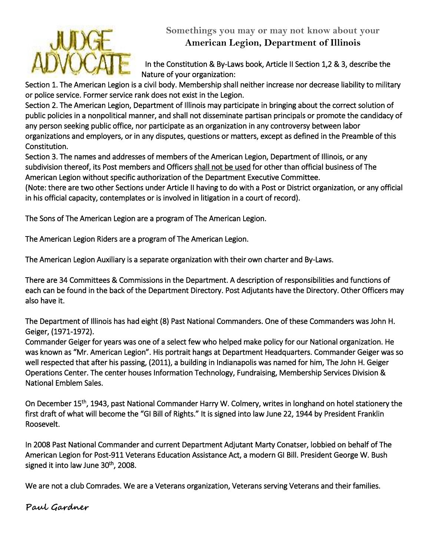

#### **Somethings you may or may not know about your American Legion, Department of Illinois**

 In the Constitution & By-Laws book, Article II Section 1,2 & 3, describe the Nature of your organization:

Section 1. The American Legion is a civil body. Membership shall neither increase nor decrease liability to military or police service. Former service rank does not exist in the Legion.

Section 2. The American Legion, Department of Illinois may participate in bringing about the correct solution of public policies in a nonpolitical manner, and shall not disseminate partisan principals or promote the candidacy of any person seeking public office, nor participate as an organization in any controversy between labor organizations and employers, or in any disputes, questions or matters, except as defined in the Preamble of this Constitution.

Section 3. The names and addresses of members of the American Legion, Department of Illinois, or any subdivision thereof, its Post members and Officers shall not be used for other than official business of The American Legion without specific authorization of the Department Executive Committee.

(Note: there are two other Sections under Article II having to do with a Post or District organization, or any official in his official capacity, contemplates or is involved in litigation in a court of record).

The Sons of The American Legion are a program of The American Legion.

The American Legion Riders are a program of The American Legion.

The American Legion Auxiliary is a separate organization with their own charter and By-Laws.

There are 34 Committees & Commissions in the Department. A description of responsibilities and functions of each can be found in the back of the Department Directory. Post Adjutants have the Directory. Other Officers may also have it.

The Department of Illinois has had eight (8) Past National Commanders. One of these Commanders was John H. Geiger, (1971-1972).

Commander Geiger for years was one of a select few who helped make policy for our National organization. He was known as "Mr. American Legion". His portrait hangs at Department Headquarters. Commander Geiger was so well respected that after his passing, (2011), a building in Indianapolis was named for him, The John H. Geiger Operations Center. The center houses Information Technology, Fundraising, Membership Services Division & National Emblem Sales.

On December 15th, 1943, past National Commander Harry W. Colmery, writes in longhand on hotel stationery the first draft of what will become the "GI Bill of Rights." It is signed into law June 22, 1944 by President Franklin Roosevelt.

In 2008 Past National Commander and current Department Adjutant Marty Conatser, lobbied on behalf of The American Legion for Post-911 Veterans Education Assistance Act, a modern GI Bill. President George W. Bush signed it into law June 30<sup>th</sup>, 2008.

We are not a club Comrades. We are a Veterans organization, Veterans serving Veterans and their families.

**Paul Gardner**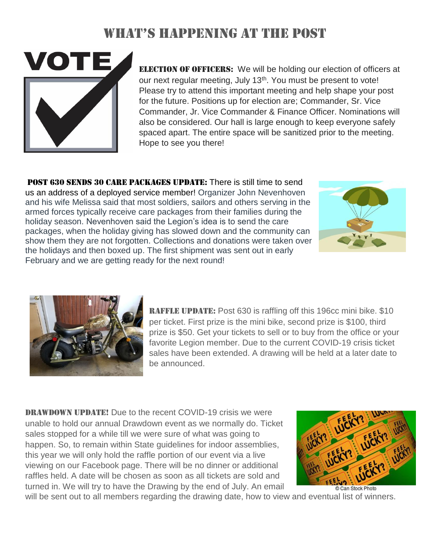### What's happening at the post



**ELECTION OF OFFICERS:** We will be holding our election of officers at our next regular meeting, July 13<sup>th</sup>. You must be present to vote! Please try to attend this important meeting and help shape your post for the future. Positions up for election are; Commander, Sr. Vice Commander, Jr. Vice Commander & Finance Officer. Nominations will also be considered. Our hall is large enough to keep everyone safely spaced apart. The entire space will be sanitized prior to the meeting. Hope to see you there!

POST 630 SENDS 30 CARE PACKAGES UPDATE: There is still time to send us an address of a deployed service member! Organizer John Nevenhoven and his wife Melissa said that most soldiers, sailors and others serving in the armed forces typically receive care packages from their families during the holiday season. Nevenhoven said the Legion's idea is to send the care packages, when the holiday giving has slowed down and the community can show them they are not forgotten. Collections and donations were taken over the holidays and then boxed up. The first shipment was sent out in early February and we are getting ready for the next round!





RAFFLE UPDATE: Post 630 is raffling off this 196cc mini bike. \$10 per ticket. First prize is the mini bike, second prize is \$100, third prize is \$50. Get your tickets to sell or to buy from the office or your favorite Legion member. Due to the current COVID-19 crisis ticket sales have been extended. A drawing will be held at a later date to be announced.

**DRAWDOWN UPDATE!** Due to the recent COVID-19 crisis we were unable to hold our annual Drawdown event as we normally do. Ticket sales stopped for a while till we were sure of what was going to happen. So, to remain within State guidelines for indoor assemblies, this year we will only hold the raffle portion of our event via a live viewing on our Facebook page. There will be no dinner or additional raffles held. A date will be chosen as soon as all tickets are sold and turned in. We will try to have the Drawing by the end of July. An email



Can Stock Photo will be sent out to all members regarding the drawing date, how to view and eventual list of winners.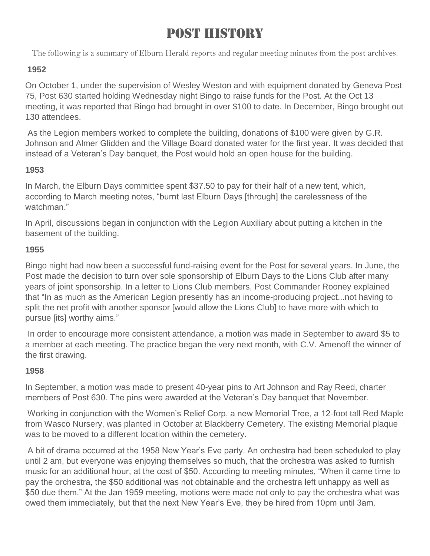## Post History

The following is a summary of Elburn Herald reports and regular meeting minutes from the post archives:

#### **1952**

On October 1, under the supervision of Wesley Weston and with equipment donated by Geneva Post 75, Post 630 started holding Wednesday night Bingo to raise funds for the Post. At the Oct 13 meeting, it was reported that Bingo had brought in over \$100 to date. In December, Bingo brought out 130 attendees.

As the Legion members worked to complete the building, donations of \$100 were given by G.R. Johnson and Almer Glidden and the Village Board donated water for the first year. It was decided that instead of a Veteran's Day banquet, the Post would hold an open house for the building.

#### **1953**

In March, the Elburn Days committee spent \$37.50 to pay for their half of a new tent, which, according to March meeting notes, "burnt last Elburn Days [through] the carelessness of the watchman."

In April, discussions began in conjunction with the Legion Auxiliary about putting a kitchen in the basement of the building.

#### **1955**

Bingo night had now been a successful fund-raising event for the Post for several years. In June, the Post made the decision to turn over sole sponsorship of Elburn Days to the Lions Club after many years of joint sponsorship. In a letter to Lions Club members, Post Commander Rooney explained that "In as much as the American Legion presently has an income-producing project...not having to split the net profit with another sponsor [would allow the Lions Club] to have more with which to pursue [its] worthy aims."

In order to encourage more consistent attendance, a motion was made in September to award \$5 to a member at each meeting. The practice began the very next month, with C.V. Amenoff the winner of the first drawing.

#### **1958**

In September, a motion was made to present 40-year pins to Art Johnson and Ray Reed, charter members of Post 630. The pins were awarded at the Veteran's Day banquet that November.

Working in conjunction with the Women's Relief Corp, a new Memorial Tree, a 12-foot tall Red Maple from Wasco Nursery, was planted in October at Blackberry Cemetery. The existing Memorial plaque was to be moved to a different location within the cemetery.

A bit of drama occurred at the 1958 New Year's Eve party. An orchestra had been scheduled to play until 2 am, but everyone was enjoying themselves so much, that the orchestra was asked to furnish music for an additional hour, at the cost of \$50. According to meeting minutes, "When it came time to pay the orchestra, the \$50 additional was not obtainable and the orchestra left unhappy as well as \$50 due them." At the Jan 1959 meeting, motions were made not only to pay the orchestra what was owed them immediately, but that the next New Year's Eve, they be hired from 10pm until 3am.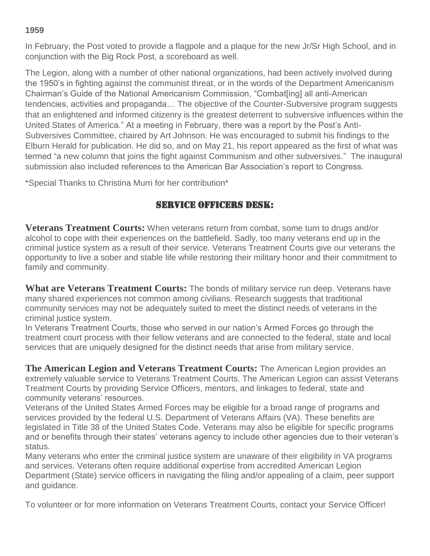#### **1959**

In February, the Post voted to provide a flagpole and a plaque for the new Jr/Sr High School, and in conjunction with the Big Rock Post, a scoreboard as well.

The Legion, along with a number of other national organizations, had been actively involved during the 1950's in fighting against the communist threat, or in the words of the Department Americanism Chairman's Guide of the National Americanism Commission, "Combat[ing] all anti-American tendencies, activities and propaganda… The objective of the Counter-Subversive program suggests that an enlightened and informed citizenry is the greatest deterrent to subversive influences within the United States of America." At a meeting in February, there was a report by the Post's Anti-Subversives Committee, chaired by Art Johnson. He was encouraged to submit his findings to the Elburn Herald for publication. He did so, and on May 21, his report appeared as the first of what was termed "a new column that joins the fight against Communism and other subversives." The inaugural submission also included references to the American Bar Association's report to Congress.

\*Special Thanks to Christina Murri for her contribution\*

#### Service Officers Desk:

**Veterans Treatment Courts:** When veterans return from combat, some turn to drugs and/or alcohol to cope with their experiences on the battlefield. Sadly, too many veterans end up in the criminal justice system as a result of their service. Veterans Treatment Courts give our veterans the opportunity to live a sober and stable life while restoring their military honor and their commitment to family and community.

**What are Veterans Treatment Courts:** The bonds of military service run deep. Veterans have many shared experiences not common among civilians. Research suggests that traditional community services may not be adequately suited to meet the distinct needs of veterans in the criminal justice system.

In Veterans Treatment Courts, those who served in our nation's Armed Forces go through the treatment court process with their fellow veterans and are connected to the federal, state and local services that are uniquely designed for the distinct needs that arise from military service.

**The American Legion and Veterans Treatment Courts:** The American Legion provides an extremely valuable service to Veterans Treatment Courts. The American Legion can assist Veterans Treatment Courts by providing Service Officers, mentors, and linkages to federal, state and community veterans' resources.

Veterans of the United States Armed Forces may be eligible for a broad range of programs and services provided by the federal U.S. Department of Veterans Affairs (VA). These benefits are legislated in Title 38 of the United States Code. Veterans may also be eligible for specific programs and or benefits through their states' veterans agency to include other agencies due to their veteran's status.

Many veterans who enter the criminal justice system are unaware of their eligibility in VA programs and services. Veterans often require additional expertise from accredited American Legion Department (State) service officers in navigating the filing and/or appealing of a claim, peer support and guidance.

To volunteer or for more information on Veterans Treatment Courts, contact your Service Officer!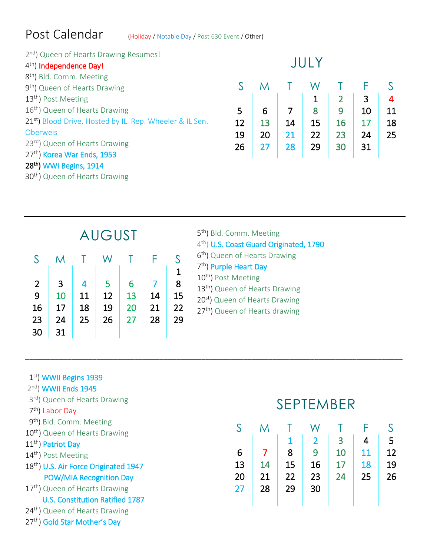### Post Calendar (Holiday / Notable Day / Post 630 Event / Other)

| 2 <sup>nd</sup> ) Queen of Hearts Drawing Resumes!                   | TH LY |    |    |    |                |    |    |
|----------------------------------------------------------------------|-------|----|----|----|----------------|----|----|
| 4 <sup>th</sup> ) Independence Day!                                  |       |    |    |    |                |    |    |
| 8 <sup>th</sup> ) Bld. Comm. Meeting                                 |       |    |    |    |                |    |    |
| 9 <sup>th</sup> ) Queen of Hearts Drawing                            |       |    |    | W  |                |    |    |
| 13 <sup>th</sup> ) Post Meeting                                      |       |    |    | 1  | $\overline{2}$ | 3  | 4  |
| 16 <sup>th</sup> ) Queen of Hearts Drawing                           | 5     | 6  |    | 8  | 9              | 10 | 11 |
| 21 <sup>st</sup> ) Blood Drive, Hosted by IL. Rep. Wheeler & IL Sen. | 12    | 13 | 14 | 15 | 16             | 17 | 18 |
| <b>Oberweis</b>                                                      | 19    | 20 | 21 | 22 | 23             | 24 | 25 |
| 23 <sup>rd</sup> ) Queen of Hearts Drawing                           | 26    | 27 | 28 | 29 | 30             | 31 |    |
| 27th) Korea War Ends, 1953                                           |       |    |    |    |                |    |    |
| 28 <sup>th</sup> ) WWI Begins, 1914                                  |       |    |    |    |                |    |    |
| 30 <sup>th</sup> ) Queen of Hearts Drawing                           |       |    |    |    |                |    |    |
|                                                                      |       |    |    |    |                |    |    |

\_\_\_\_\_\_\_\_\_\_\_\_\_\_\_\_\_\_\_\_\_\_\_\_\_\_\_\_\_\_\_\_\_\_\_\_\_\_\_\_\_\_\_\_\_\_\_\_\_\_\_\_\_\_\_\_\_\_\_\_\_\_\_\_\_\_\_\_\_\_\_\_\_\_\_\_\_\_\_\_\_\_\_\_\_\_\_\_\_\_

| <b>AUGUST</b>  |    |    |    |    |    |    |  |
|----------------|----|----|----|----|----|----|--|
| S              | M  |    | W  |    | F  | S  |  |
|                |    |    |    |    |    | 1  |  |
| $\overline{2}$ | 3  | 4  | 5  | 6  |    | 8  |  |
| 9              | 10 | 11 | 12 | 13 | 14 | 15 |  |
| 16             | 17 | 18 | 19 | 20 | 21 | 22 |  |
| 23             | 24 | 25 | 26 | 27 | 28 | 29 |  |
| 30             | 31 |    |    |    |    |    |  |

| 5 <sup>th</sup> ) Bld. Comm. Meeting                |
|-----------------------------------------------------|
| 4 <sup>th</sup> ) U.S. Coast Guard Originated, 1790 |
| 6 <sup>th</sup> ) Queen of Hearts Drawing           |
| 7 <sup>th</sup> ) Purple Heart Day                  |
| 10 <sup>th</sup> ) Post Meeting                     |
| 13 <sup>th</sup> ) Queen of Hearts Drawing          |
| 20 <sup>st</sup> ) Queen of Hearts Drawing          |
| 27 <sup>th</sup> ) Queen of Hearts drawing          |
|                                                     |

#### 1st) WWII Begins 1939

- 2<sup>nd</sup>) **WWII Ends 1945**
- 3<sup>rd</sup>) Queen of Hearts Drawing
- 7<sup>th</sup>) Labor Day
- 9<sup>th</sup>) Bld. Comm. Meeting
- 10<sup>th</sup>) Queen of Hearts Drawing
- 11<sup>th</sup>) Patriot Day
- 14<sup>th</sup>) Post Meeting
- 18<sup>th</sup>) U.S. Air Force Originated 1947 POW/MIA Recognition Day
- 17<sup>th</sup>) Queen of Hearts Drawing
	- U.S. Constitution Ratified 1787
- 24<sup>th</sup>) Queen of Hearts Drawing
- 27<sup>th</sup>) Gold Star Mother's Day

# SEPTEMBER

| S  | M  |    |                |    |    | S  |
|----|----|----|----------------|----|----|----|
|    |    |    | $\overline{2}$ | 3  | 4  | 5  |
| 6  |    | 8  | 9              | 10 | 11 | 12 |
| 13 | 14 | 15 | 16             | 17 | 18 | 19 |
| 20 | 21 | 22 | 23             | 24 | 25 | 26 |
| 27 | 28 | 29 | 30             |    |    |    |
|    |    |    |                |    |    |    |